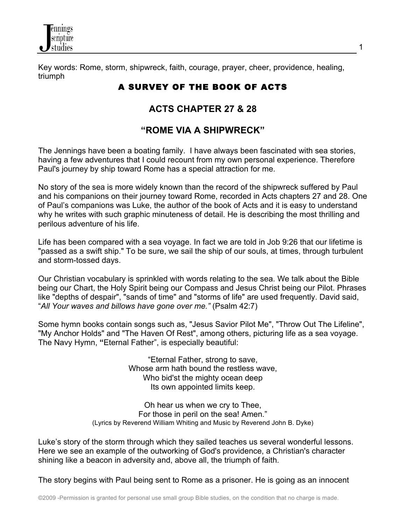

Key words: Rome, storm, shipwreck, faith, courage, prayer, cheer, providence, healing, triumph

# A SURVEY OF THE BOOK OF ACTS

# **ACTS CHAPTER 27 & 28**

# **"ROME VIA A SHIPWRECK"**

The Jennings have been a boating family. I have always been fascinated with sea stories, having a few adventures that I could recount from my own personal experience. Therefore Paul's journey by ship toward Rome has a special attraction for me.

No story of the sea is more widely known than the record of the shipwreck suffered by Paul and his companions on their journey toward Rome, recorded in Acts chapters 27 and 28. One of Paul's companions was Luke, the author of the book of Acts and it is easy to understand why he writes with such graphic minuteness of detail. He is describing the most thrilling and perilous adventure of his life.

Life has been compared with a sea voyage. In fact we are told in Job 9:26 that our lifetime is "passed as a swift ship." To be sure, we sail the ship of our souls, at times, through turbulent and storm-tossed days.

Our Christian vocabulary is sprinkled with words relating to the sea. We talk about the Bible being our Chart, the Holy Spirit being our Compass and Jesus Christ being our Pilot. Phrases like "depths of despair", "sands of time" and "storms of life" are used frequently. David said, "*All Your waves and billows have gone over me."* (Psalm 42:7)

Some hymn books contain songs such as, "Jesus Savior Pilot Me", "Throw Out The Lifeline", "My Anchor Holds" and "The Haven Of Rest", among others, picturing life as a sea voyage. The Navy Hymn, **"**Eternal Father", is especially beautiful:

> "Eternal Father, strong to save, Whose arm hath bound the restless wave, Who bid'st the mighty ocean deep Its own appointed limits keep.

Oh hear us when we cry to Thee, For those in peril on the sea! Amen." (Lyrics by Reverend William Whiting and Music by Reverend John B. Dyke)

Luke's story of the storm through which they sailed teaches us several wonderful lessons. Here we see an example of the outworking of God's providence, a Christian's character shining like a beacon in adversity and, above all, the triumph of faith.

The story begins with Paul being sent to Rome as a prisoner. He is going as an innocent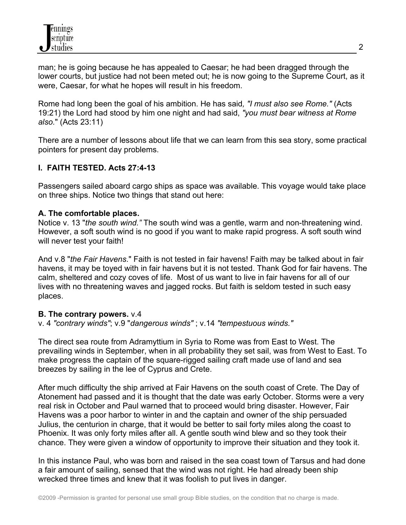man; he is going because he has appealed to Caesar; he had been dragged through the lower courts, but justice had not been meted out; he is now going to the Supreme Court, as it were, Caesar, for what he hopes will result in his freedom.

Rome had long been the goal of his ambition. He has said*, "I must also see Rome."* (Acts 19:21) the Lord had stood by him one night and had said, *"you must bear witness at Rome also.*" (Acts 23:11)

There are a number of lessons about life that we can learn from this sea story, some practical pointers for present day problems.

#### **I. FAITH TESTED. Acts 27:4-13**

Passengers sailed aboard cargo ships as space was available. This voyage would take place on three ships. Notice two things that stand out here:

#### **A. The comfortable places.**

Notice v. 13 "*the south wind."* The south wind was a gentle, warm and non-threatening wind. However, a soft south wind is no good if you want to make rapid progress. A soft south wind will never test your faith!

And v.8 "*the Fair Havens*." Faith is not tested in fair havens! Faith may be talked about in fair havens, it may be toyed with in fair havens but it is not tested. Thank God for fair havens. The calm, sheltered and cozy coves of life. Most of us want to live in fair havens for all of our lives with no threatening waves and jagged rocks. But faith is seldom tested in such easy places.

#### **B. The contrary powers.** v.4

v. 4 *"contrary winds"*; v.9 "*dangerous winds"* ; v.14 *"tempestuous winds."*

The direct sea route from Adramyttium in Syria to Rome was from East to West. The prevailing winds in September, when in all probability they set sail, was from West to East. To make progress the captain of the square-rigged sailing craft made use of land and sea breezes by sailing in the lee of Cyprus and Crete.

After much difficulty the ship arrived at Fair Havens on the south coast of Crete. The Day of Atonement had passed and it is thought that the date was early October. Storms were a very real risk in October and Paul warned that to proceed would bring disaster. However, Fair Havens was a poor harbor to winter in and the captain and owner of the ship persuaded Julius, the centurion in charge, that it would be better to sail forty miles along the coast to Phoenix. It was only forty miles after all. A gentle south wind blew and so they took their chance. They were given a window of opportunity to improve their situation and they took it.

In this instance Paul, who was born and raised in the sea coast town of Tarsus and had done a fair amount of sailing, sensed that the wind was not right. He had already been ship wrecked three times and knew that it was foolish to put lives in danger.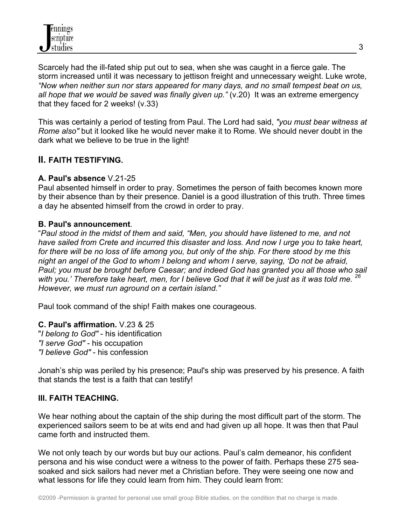Scarcely had the ill-fated ship put out to sea, when she was caught in a fierce gale. The storm increased until it was necessary to jettison freight and unnecessary weight. Luke wrote, *"Now when neither sun nor stars appeared for many days, and no small tempest beat on us, all hope that we would be saved was finally given up."* (v.20) It was an extreme emergency that they faced for 2 weeks! (v.33)

This was certainly a period of testing from Paul. The Lord had said, *"you must bear witness at Rome also"* but it looked like he would never make it to Rome. We should never doubt in the dark what we believe to be true in the light!

# **II. FAITH TESTIFYING.**

#### **A. Paul's absence** V.21-25

Paul absented himself in order to pray. Sometimes the person of faith becomes known more by their absence than by their presence. Daniel is a good illustration of this truth. Three times a day he absented himself from the crowd in order to pray.

#### **B. Paul's announcement**.

"*Paul stood in the midst of them and said, "Men, you should have listened to me, and not have sailed from Crete and incurred this disaster and loss. And now I urge you to take heart, for there will be no loss of life among you, but only of the ship. For there stood by me this night an angel of the God to whom I belong and whom I serve, saying, 'Do not be afraid, Paul; you must be brought before Caesar; and indeed God has granted you all those who sail with you.' Therefore take heart, men, for I believe God that it will be just as it was told me. 26 However, we must run aground on a certain island."*

Paul took command of the ship! Faith makes one courageous.

#### **C. Paul's affirmation.** V.23 & 25

"*I belong to God"* - his identification *"I serve God"* - his occupation *"I believe God"* - his confession

Jonah's ship was periled by his presence; Paul's ship was preserved by his presence. A faith that stands the test is a faith that can testify!

#### **III. FAITH TEACHING.**

We hear nothing about the captain of the ship during the most difficult part of the storm. The experienced sailors seem to be at wits end and had given up all hope. It was then that Paul came forth and instructed them.

We not only teach by our words but buy our actions. Paul's calm demeanor, his confident persona and his wise conduct were a witness to the power of faith. Perhaps these 275 seasoaked and sick sailors had never met a Christian before. They were seeing one now and what lessons for life they could learn from him. They could learn from: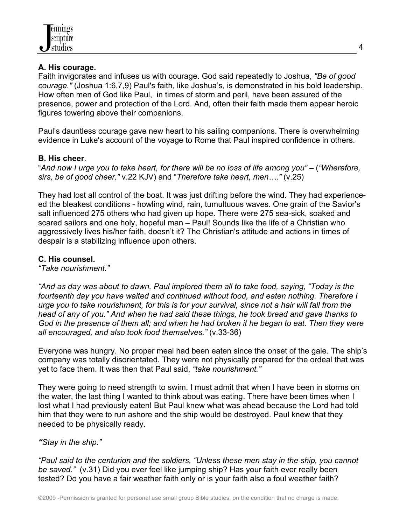#### **A. His courage.**

Faith invigorates and infuses us with courage. God said repeatedly to Joshua, *"Be of good courage."* (Joshua 1:6,7,9) Paul's faith, like Joshua's, is demonstrated in his bold leadership. How often men of God like Paul, in times of storm and peril, have been assured of the presence, power and protection of the Lord. And, often their faith made them appear heroic figures towering above their companions.

Paul's dauntless courage gave new heart to his sailing companions. There is overwhelming evidence in Luke's account of the voyage to Rome that Paul inspired confidence in others.

#### **B. His cheer**.

"And now I urge you to take heart, for there will be no loss of life among you" – ("Wherefore, *sirs, be of good cheer."* v.22 KJV) and "*Therefore take heart, men…."* (v.25)

They had lost all control of the boat. It was just drifting before the wind. They had experienceed the bleakest conditions - howling wind, rain, tumultuous waves. One grain of the Savior's salt influenced 275 others who had given up hope. There were 275 sea-sick, soaked and scared sailors and one holy, hopeful man – Paul! Sounds like the life of a Christian who aggressively lives his/her faith, doesn't it? The Christian's attitude and actions in times of despair is a stabilizing influence upon others.

# **C. His counsel.**

*"Take nourishment."*

*"And as day was about to dawn, Paul implored them all to take food, saying, "Today is the fourteenth day you have waited and continued without food, and eaten nothing. Therefore I urge you to take nourishment, for this is for your survival, since not a hair will fall from the head of any of you." And when he had said these things, he took bread and gave thanks to God in the presence of them all; and when he had broken it he began to eat. Then they were all encouraged, and also took food themselves."* (v.33-36)

Everyone was hungry. No proper meal had been eaten since the onset of the gale. The ship's company was totally disorientated. They were not physically prepared for the ordeal that was yet to face them. It was then that Paul said, *"take nourishment."* 

They were going to need strength to swim. I must admit that when I have been in storms on the water, the last thing I wanted to think about was eating. There have been times when I lost what I had previously eaten! But Paul knew what was ahead because the Lord had told him that they were to run ashore and the ship would be destroyed. Paul knew that they needed to be physically ready.

#### *"Stay in the ship."*

*"Paul said to the centurion and the soldiers, "Unless these men stay in the ship, you cannot be saved."* (v.31) Did you ever feel like jumping ship? Has your faith ever really been tested? Do you have a fair weather faith only or is your faith also a foul weather faith?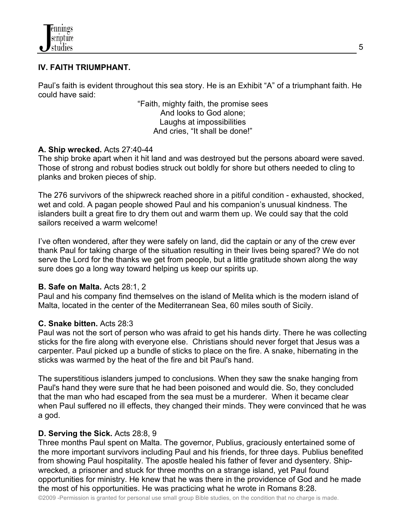### **IV. FAITH TRIUMPHANT.**

Paul's faith is evident throughout this sea story. He is an Exhibit "A" of a triumphant faith. He could have said:

> "Faith, mighty faith, the promise sees And looks to God alone; Laughs at impossibilities And cries, "It shall be done!"

### **A. Ship wrecked.** Acts 27:40-44

The ship broke apart when it hit land and was destroyed but the persons aboard were saved. Those of strong and robust bodies struck out boldly for shore but others needed to cling to planks and broken pieces of ship.

The 276 survivors of the shipwreck reached shore in a pitiful condition - exhausted, shocked, wet and cold. A pagan people showed Paul and his companion's unusual kindness. The islanders built a great fire to dry them out and warm them up. We could say that the cold sailors received a warm welcome!

I've often wondered, after they were safely on land, did the captain or any of the crew ever thank Paul for taking charge of the situation resulting in their lives being spared? We do not serve the Lord for the thanks we get from people, but a little gratitude shown along the way sure does go a long way toward helping us keep our spirits up.

#### **B. Safe on Malta.** Acts 28:1, 2

Paul and his company find themselves on the island of Melita which is the modern island of Malta, located in the center of the Mediterranean Sea, 60 miles south of Sicily.

#### **C. Snake bitten.** Acts 28:3

Paul was not the sort of person who was afraid to get his hands dirty. There he was collecting sticks for the fire along with everyone else. Christians should never forget that Jesus was a carpenter. Paul picked up a bundle of sticks to place on the fire. A snake, hibernating in the sticks was warmed by the heat of the fire and bit Paul's hand.

The superstitious islanders jumped to conclusions. When they saw the snake hanging from Paul's hand they were sure that he had been poisoned and would die. So, they concluded that the man who had escaped from the sea must be a murderer. When it became clear when Paul suffered no ill effects, they changed their minds. They were convinced that he was a god.

# **D. Serving the Sick.** Acts 28:8, 9

Three months Paul spent on Malta. The governor, Publius, graciously entertained some of the more important survivors including Paul and his friends, for three days. Publius benefited from showing Paul hospitality. The apostle healed his father of fever and dysentery. Shipwrecked, a prisoner and stuck for three months on a strange island, yet Paul found opportunities for ministry. He knew that he was there in the providence of God and he made the most of his opportunities. He was practicing what he wrote in Romans 8:28.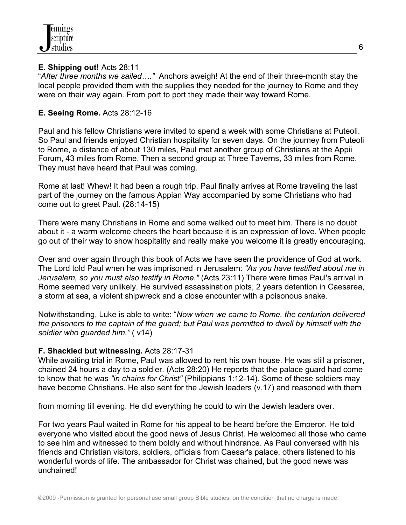#### **E. Shipping out!** Acts 28:11

"*After three months we sailed…."* Anchors aweigh! At the end of their three-month stay the local people provided them with the supplies they needed for the journey to Rome and they were on their way again. From port to port they made their way toward Rome.

### **E. Seeing Rome.** Acts 28:12-16

Paul and his fellow Christians were invited to spend a week with some Christians at Puteoli. So Paul and friends enjoyed Christian hospitality for seven days. On the journey from Puteoli to Rome, a distance of about 130 miles, Paul met another group of Christians at the Appii Forum, 43 miles from Rome. Then a second group at Three Taverns, 33 miles from Rome. They must have heard that Paul was coming.

Rome at last! Whew! It had been a rough trip. Paul finally arrives at Rome traveling the last part of the journey on the famous Appian Way accompanied by some Christians who had come out to greet Paul. (28:14-15)

There were many Christians in Rome and some walked out to meet him. There is no doubt about it - a warm welcome cheers the heart because it is an expression of love. When people go out of their way to show hospitality and really make you welcome it is greatly encouraging.

Over and over again through this book of Acts we have seen the providence of God at work. The Lord told Paul when he was imprisoned in Jerusalem: *"As you have testified about me in Jerusalem, so you must also testify in Rome."* (Acts 23:11) There were times Paul's arrival in Rome seemed very unlikely. He survived assassination plots, 2 years detention in Caesarea, a storm at sea, a violent shipwreck and a close encounter with a poisonous snake.

Notwithstanding, Luke is able to write: "*Now when we came to Rome, the centurion delivered the prisoners to the captain of the guard; but Paul was permitted to dwell by himself with the soldier who guarded him."* ( v14)

#### **F. Shackled but witnessing.** Acts 28:17-31

While awaiting trial in Rome, Paul was allowed to rent his own house. He was still a prisoner, chained 24 hours a day to a soldier. (Acts 28:20) He reports that the palace guard had come to know that he was *"in chains for Christ"* (Philippians 1:12-14). Some of these soldiers may have become Christians. He also sent for the Jewish leaders (v.17) and reasoned with them

from morning till evening. He did everything he could to win the Jewish leaders over.

For two years Paul waited in Rome for his appeal to be heard before the Emperor. He told everyone who visited about the good news of Jesus Christ. He welcomed all those who came to see him and witnessed to them boldly and without hindrance. As Paul conversed with his friends and Christian visitors, soldiers, officials from Caesar's palace, others listened to his wonderful words of life. The ambassador for Christ was chained, but the good news was unchained!